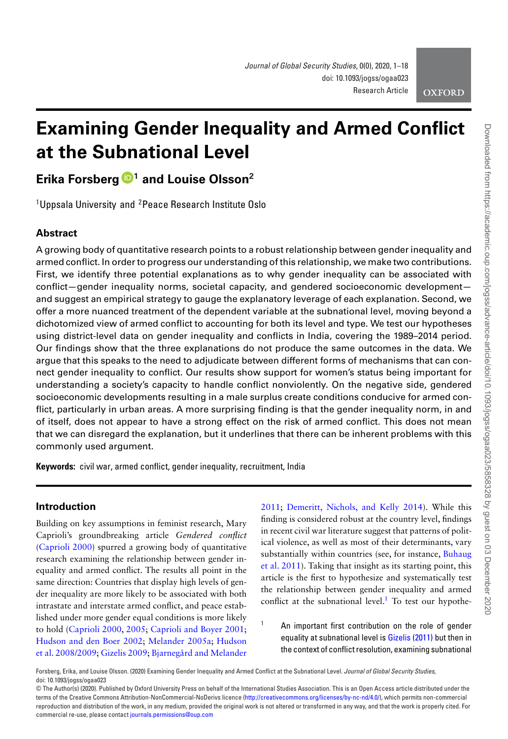

# **Examining Gender Inequality and Armed Conflict at the Subnational Level**

## **Erika Forsberg [1](http://orcid.org/0000-0001-5854-0796) and Louise Olsson2**

<sup>1</sup>Uppsala University and <sup>2</sup>Peace Research Institute Oslo

### **Abstract**

A growing body of quantitative research points to a robust relationship between gender inequality and armed conflict. In order to progress our understanding of this relationship, we make two contributions. First, we identify three potential explanations as to why gender inequality can be associated with conflict—gender inequality norms, societal capacity, and gendered socioeconomic development and suggest an empirical strategy to gauge the explanatory leverage of each explanation. Second, we offer a more nuanced treatment of the dependent variable at the subnational level, moving beyond a dichotomized view of armed conflict to accounting for both its level and type. We test our hypotheses using district-level data on gender inequality and conflicts in India, covering the 1989–2014 period. Our findings show that the three explanations do not produce the same outcomes in the data. We argue that this speaks to the need to adjudicate between different forms of mechanisms that can connect gender inequality to conflict. Our results show support for women's status being important for understanding a society's capacity to handle conflict nonviolently. On the negative side, gendered socioeconomic developments resulting in a male surplus create conditions conducive for armed conflict, particularly in urban areas. A more surprising finding is that the gender inequality norm, in and of itself, does not appear to have a strong effect on the risk of armed conflict. This does not mean that we can disregard the explanation, but it underlines that there can be inherent problems with this commonly used argument.

**Keywords:** civil war, armed conflict, gender inequality, recruitment, India

#### **Introduction**

Building on key assumptions in feminist research, Mary Caprioli's groundbreaking article *Gendered conflict* [\(Caprioli 2000\)](#page-16-0) spurred a growing body of quantitative research examining the relationship between gender inequality and armed conflict. The results all point in the same direction: Countries that display high levels of gender inequality are more likely to be associated with both intrastate and interstate armed conflict, and peace established under more gender equal conditions is more likely to hold [\(Caprioli 2000,](#page-16-0) [2005;](#page-16-1) [Caprioli and Boyer 2001;](#page-16-2) [Hudson and den Boer 2002](#page-17-0)[;](#page-17-2) [Melander 2005a;](#page-17-1) Hudson et al. 2008/2009; [Gizelis 2009;](#page-16-3) [Bjarnegård and Melander](#page-16-4)

[2011;](#page-16-4) [Demeritt, Nichols, and Kelly 2014\)](#page-16-5). While this finding is considered robust at the country level, findings in recent civil war literature suggest that patterns of political violence, as well as most of their determinants, vary substantially within countries (see, for instance, Buhaug [et al. 2011\). Taking that insight as its starting point, this](#page-16-6) article is the first to hypothesize and systematically test the relationship between gender inequality and armed conflict at the subnational level. $1$  To test our hypothe-

<span id="page-0-0"></span>An important first contribution on the role of gender equality at subnational level is [Gizelis \(2011\)](#page-16-7) but then in the context of conflict resolution, examining subnational

Forsberg, Erika, and Louise Olsson. (2020) Examining Gender Inequality and Armed Conflict at the Subnational Level. *Journal of Global Security Studies*, doi: 10.1093/jogss/ogaa023

<sup>©</sup> The Author(s) (2020). Published by Oxford University Press on behalf of the International Studies Association. This is an Open Access article distributed under the terms of the Creative Commons Attribution-NonCommercial-NoDerivs licence [\(http://creativecommons.org/licenses/by-nc-nd/4.0/\)](http://creativecommons.org/licenses/by-nc-nd/4.0/), which permits non-commercial reproduction and distribution of the work, in any medium, provided the original work is not altered or transformed in any way, and that the work is properly cited. For commercial re-use, please contact [journals.permissions@oup.com](mailto:journals.permissions@oup.com)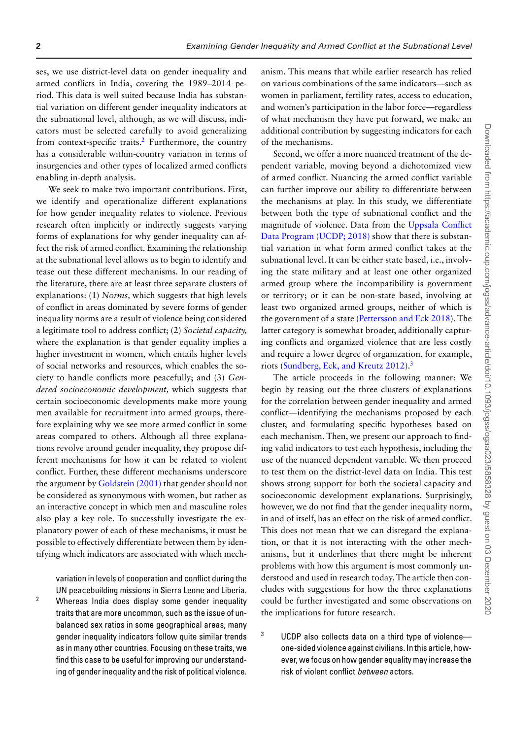ses, we use district-level data on gender inequality and armed conflicts in India, covering the 1989–2014 period. This data is well suited because India has substantial variation on different gender inequality indicators at the subnational level, although, as we will discuss, indicators must be selected carefully to avoid generalizing from context-specific traits[.2](#page-1-0) Furthermore, the country has a considerable within-country variation in terms of insurgencies and other types of localized armed conflicts enabling in-depth analysis.

We seek to make two important contributions. First, we identify and operationalize different explanations for how gender inequality relates to violence. Previous research often implicitly or indirectly suggests varying forms of explanations for why gender inequality can affect the risk of armed conflict. Examining the relationship at the subnational level allows us to begin to identify and tease out these different mechanisms. In our reading of the literature, there are at least three separate clusters of explanations: (1) *Norms,* which suggests that high levels of conflict in areas dominated by severe forms of gender inequality norms are a result of violence being considered a legitimate tool to address conflict; (2) *Societal capacity,* where the explanation is that gender equality implies a higher investment in women, which entails higher levels of social networks and resources, which enables the society to handle conflicts more peacefully; and (3) *Gendered socioeconomic development,* which suggests that certain socioeconomic developments make more young men available for recruitment into armed groups, therefore explaining why we see more armed conflict in some areas compared to others. Although all three explanations revolve around gender inequality, they propose different mechanisms for how it can be related to violent conflict. Further, these different mechanisms underscore the argument by [Goldstein \(2001\)](#page-17-3) that gender should not be considered as synonymous with women, but rather as an interactive concept in which men and masculine roles also play a key role. To successfully investigate the explanatory power of each of these mechanisms, it must be possible to effectively differentiate between them by identifying which indicators are associated with which mech-

variation in levels of cooperation and conflict during the UN peacebuilding missions in Sierra Leone and Liberia. <sup>2</sup> Whereas India does display some gender inequality

<span id="page-1-0"></span>traits that are more uncommon, such as the issue of unbalanced sex ratios in some geographical areas, many gender inequality indicators follow quite similar trends as in many other countries. Focusing on these traits, we find this case to be useful for improving our understanding of gender inequality and the risk of political violence. anism. This means that while earlier research has relied on various combinations of the same indicators—such as women in parliament, fertility rates, access to education, and women's participation in the labor force—regardless of what mechanism they have put forward, we make an additional contribution by suggesting indicators for each of the mechanisms.

Second, we offer a more nuanced treatment of the dependent variable, moving beyond a dichotomized view of armed conflict. Nuancing the armed conflict variable can further improve our ability to differentiate between the mechanisms at play. In this study, we differentiate between both the type of subnational conflict and the [magnitude of violence. Data from the](#page-17-4) Uppsala Conflict Data Program (UCDP; 2018) show that there is substantial variation in what form armed conflict takes at the subnational level. It can be either state based, i.e., involving the state military and at least one other organized armed group where the incompatibility is government or territory; or it can be non-state based, involving at least two organized armed groups, neither of which is the government of a state [\(Pettersson and Eck 2018\)](#page-17-5). The latter category is somewhat broader, additionally capturing conflicts and organized violence that are less costly and require a lower degree of organization, for example, riots [\(Sundberg, Eck, and Kreutz 2012\)](#page-17-6)[.3](#page-1-1)

The article proceeds in the following manner: We begin by teasing out the three clusters of explanations for the correlation between gender inequality and armed conflict—identifying the mechanisms proposed by each cluster, and formulating specific hypotheses based on each mechanism. Then, we present our approach to finding valid indicators to test each hypothesis, including the use of the nuanced dependent variable. We then proceed to test them on the district-level data on India. This test shows strong support for both the societal capacity and socioeconomic development explanations. Surprisingly, however, we do not find that the gender inequality norm, in and of itself, has an effect on the risk of armed conflict. This does not mean that we can disregard the explanation, or that it is not interacting with the other mechanisms, but it underlines that there might be inherent problems with how this argument is most commonly understood and used in research today. The article then concludes with suggestions for how the three explanations could be further investigated and some observations on the implications for future research.

<span id="page-1-1"></span> $3$  UCDP also collects data on a third type of violence one-sided violence against civilians. In this article, however, we focus on how gender equality may increase the risk of violent conflict *between* actors.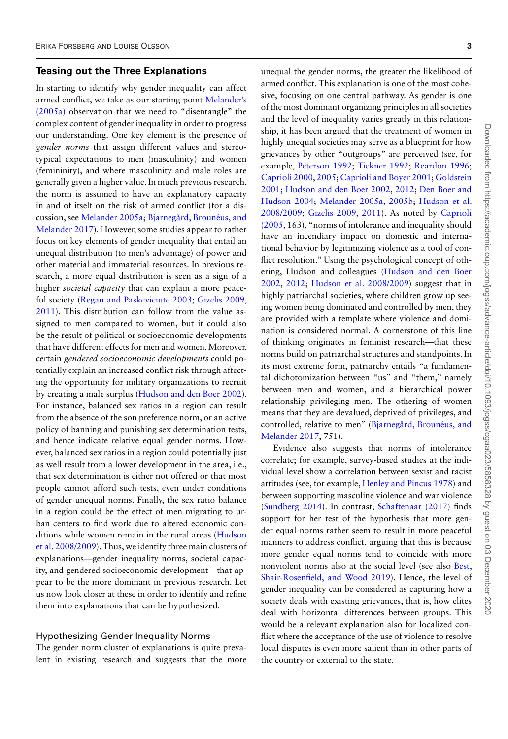#### **Teasing out the Three Explanations**

In starting to identify why gender inequality can affect armed conflict, we take as our starting point Melander's (2005a) [observation that we need to "disentangle" the](#page-17-1) complex content of gender inequality in order to progress our understanding. One key element is the presence of *gender norms* that assign different values and stereotypical expectations to men (masculinity) and women (femininity), and where masculinity and male roles are generally given a higher value. In much previous research, the norm is assumed to have an explanatory capacity in and of itself on the risk of armed conflict (for a discussion, see [Melander 2005a;](#page-17-1) Bjarnegård, Brounéus, and [Melander 2017\). However, some studies appear to rather](#page-16-8) focus on key elements of gender inequality that entail an unequal distribution (to men's advantage) of power and other material and immaterial resources. In previous research, a more equal distribution is seen as a sign of a higher *societal capacity* that can explain a more peaceful society [\(Regan and Paskeviciute 2003;](#page-17-7) [Gizelis 2009,](#page-16-3) [2011\)](#page-16-7). This distribution can follow from the value assigned to men compared to women, but it could also be the result of political or socioeconomic developments that have different effects for men and women.Moreover, certain *gendered socioeconomic developments* could potentially explain an increased conflict risk through affecting the opportunity for military organizations to recruit by creating a male surplus [\(Hudson and den Boer 2002\)](#page-17-0). For instance, balanced sex ratios in a region can result from the absence of the son preference norm, or an active policy of banning and punishing sex determination tests, and hence indicate relative equal gender norms. However, balanced sex ratios in a region could potentially just as well result from a lower development in the area, i.e., that sex determination is either not offered or that most people cannot afford such tests, even under conditions of gender unequal norms. Finally, the sex ratio balance in a region could be the effect of men migrating to urban centers to find work due to altered economic conditions while women remain in the rural areas (Hudson [et al. 2008/2009\). Thus, we identify three main clusters of](#page-17-2) explanations—gender inequality norms, societal capacity, and gendered socioeconomic development—that appear to be the more dominant in previous research. Let us now look closer at these in order to identify and refine them into explanations that can be hypothesized.

#### Hypothesizing Gender Inequality Norms

The gender norm cluster of explanations is quite prevalent in existing research and suggests that the more unequal the gender norms, the greater the likelihood of armed conflict. This explanation is one of the most cohesive, focusing on one central pathway. As gender is one of the most dominant organizing principles in all societies and the level of inequality varies greatly in this relationship, it has been argued that the treatment of women in highly unequal societies may serve as a blueprint for how grievances by other "outgroups" are perceived (see, for example, [Peterson 1992;](#page-17-8) [Tickner 1992;](#page-17-9) [Reardon 1996;](#page-17-10) [Caprioli 2000,](#page-16-0) [2005;](#page-16-1) [Caprioli and Boyer 2001;](#page-16-2) Goldstein 2001; [Hudson and den Boer 2002,](#page-17-3) [2012;](#page-17-11) Den Boer and Hudson 2004; [Melander 2005a,](#page-17-1) [2005b;](#page-17-12) Hudson et al. 2008/2009; [Gizelis 2009,](#page-16-3) [2011\). As noted by](#page-17-2) Caprioli [\(2005, 163\), "norms of intolerance and inequality should](#page-16-1) have an incendiary impact on domestic and international behavior by legitimizing violence as a tool of conflict resolution." Using the psychological concept of oth[ering, Hudson and colleagues \(Hudson and den Boer](#page-17-0) 2002, [2012;](#page-17-11) [Hudson et al. 2008/2009\)](#page-17-2) suggest that in highly patriarchal societies, where children grow up seeing women being dominated and controlled by men, they are provided with a template where violence and domination is considered normal. A cornerstone of this line of thinking originates in feminist research—that these norms build on patriarchal structures and standpoints. In its most extreme form, patriarchy entails "a fundamental dichotomization between "us" and "them," namely between men and women, and a hierarchical power relationship privileging men. The othering of women means that they are devalued, deprived of privileges, and [controlled, relative to men" \(Bjarnegård, Brounéus, and](#page-16-8) Melander 2017, 751).

Evidence also suggests that norms of intolerance correlate; for example, survey-based studies at the individual level show a correlation between sexist and racist attitudes (see, for example, [Henley and Pincus 1978\)](#page-17-13) and between supporting masculine violence and war violence [\(Sundberg 2014\)](#page-17-14). In contrast, [Schaftenaar \(2017\)](#page-17-15) finds support for her test of the hypothesis that more gender equal norms rather seem to result in more peaceful manners to address conflict, arguing that this is because more gender equal norms tend to coincide with more nonviolent norms also at the social level (see also Best, [Shair-Rosenfield, and Wood 2019\). Hence, the level of](#page-16-10) gender inequality can be considered as capturing how a society deals with existing grievances, that is, how elites deal with horizontal differences between groups. This would be a relevant explanation also for localized conflict where the acceptance of the use of violence to resolve local disputes is even more salient than in other parts of the country or external to the state.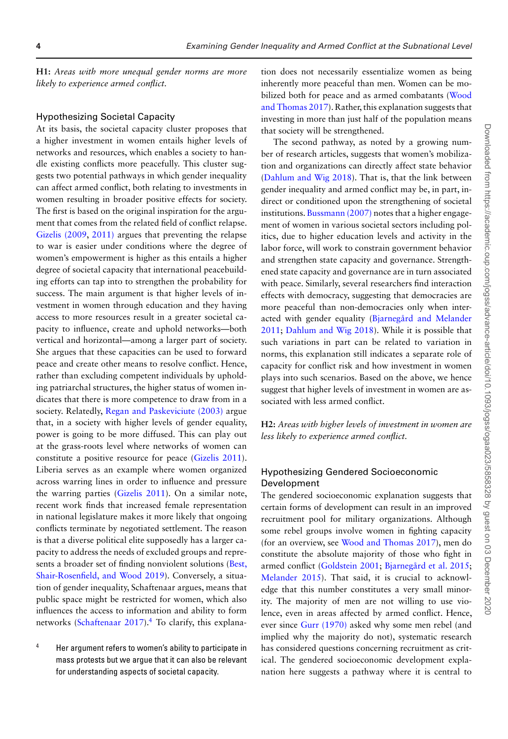**H1:** *Areas with more unequal gender norms are more likely to experience armed conflict.*

#### Hypothesizing Societal Capacity

At its basis, the societal capacity cluster proposes that a higher investment in women entails higher levels of networks and resources, which enables a society to handle existing conflicts more peacefully. This cluster suggests two potential pathways in which gender inequality can affect armed conflict, both relating to investments in women resulting in broader positive effects for society. The first is based on the original inspiration for the argument that comes from the related field of conflict relapse. [Gizelis \(2009,](#page-16-3) [2011\)](#page-16-7) argues that preventing the relapse to war is easier under conditions where the degree of women's empowerment is higher as this entails a higher degree of societal capacity that international peacebuilding efforts can tap into to strengthen the probability for success. The main argument is that higher levels of investment in women through education and they having access to more resources result in a greater societal capacity to influence, create and uphold networks—both vertical and horizontal—among a larger part of society. She argues that these capacities can be used to forward peace and create other means to resolve conflict. Hence, rather than excluding competent individuals by upholding patriarchal structures, the higher status of women indicates that there is more competence to draw from in a society. Relatedly, [Regan and Paskeviciute \(2003\)](#page-17-7) argue that, in a society with higher levels of gender equality, power is going to be more diffused. This can play out at the grass-roots level where networks of women can constitute a positive resource for peace [\(Gizelis 2011\)](#page-16-7). Liberia serves as an example where women organized across warring lines in order to influence and pressure the warring parties [\(Gizelis 2011\)](#page-16-7). On a similar note, recent work finds that increased female representation in national legislature makes it more likely that ongoing conflicts terminate by negotiated settlement. The reason is that a diverse political elite supposedly has a larger capacity to address the needs of excluded groups and repre[sents a broader set of finding nonviolent solutions \(Best,](#page-16-10) Shair-Rosenfield, and Wood 2019). Conversely, a situation of gender inequality, Schaftenaar argues, means that public space might be restricted for women, which also influences the access to information and ability to form networks [\(Schaftenaar 2017\)](#page-17-15).<sup>4</sup> To clarify, this explana-

<span id="page-3-0"></span><sup>4</sup> Her argument refers to women's ability to participate in mass protests but we argue that it can also be relevant for understanding aspects of societal capacity.

tion does not necessarily essentialize women as being inherently more peaceful than men. Women can be mobilized both for peace and as armed combatants (Wood [and Thomas 2017\). Rather, this explanation suggests that](#page-17-16) investing in more than just half of the population means that society will be strengthened.

The second pathway, as noted by a growing number of research articles, suggests that women's mobilization and organizations can directly affect state behavior [\(Dahlum and Wig 2018\)](#page-16-11). That is, that the link between gender inequality and armed conflict may be, in part, indirect or conditioned upon the strengthening of societal institutions. [Bussmann \(2007\)](#page-16-12) notes that a higher engagement of women in various societal sectors including politics, due to higher education levels and activity in the labor force, will work to constrain government behavior and strengthen state capacity and governance. Strengthened state capacity and governance are in turn associated with peace. Similarly, several researchers find interaction effects with democracy, suggesting that democracies are more peaceful than non-democracies only when inter[acted with gender equality \(Bjarnegård and Melander](#page-16-4) 2011; [Dahlum and Wig 2018\)](#page-16-11). While it is possible that such variations in part can be related to variation in norms, this explanation still indicates a separate role of capacity for conflict risk and how investment in women plays into such scenarios. Based on the above, we hence suggest that higher levels of investment in women are associated with less armed conflict.

**H2:** *Areas with higher levels of investment in women are less likely to experience armed conflict.*

#### Hypothesizing Gendered Socioeconomic Development

The gendered socioeconomic explanation suggests that certain forms of development can result in an improved recruitment pool for military organizations. Although some rebel groups involve women in fighting capacity (for an overview, see [Wood and Thomas 2017\)](#page-17-16), men do constitute the absolute majority of those who fight in armed conflict [\(Goldstein 2001;](#page-17-3) [Bjarnegård et al. 2015;](#page-16-13) [Melander 2015\)](#page-17-17). That said, it is crucial to acknowledge that this number constitutes a very small minority. The majority of men are not willing to use violence, even in areas affected by armed conflict. Hence, ever since [Gurr \(1970\)](#page-17-18) asked why some men rebel (and implied why the majority do not), systematic research has considered questions concerning recruitment as critical. The gendered socioeconomic development explanation here suggests a pathway where it is central to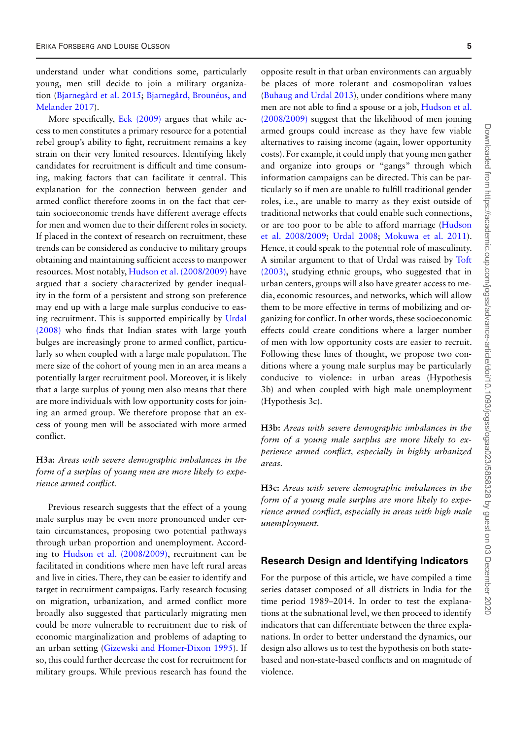understand under what conditions some, particularly young, men still decide to join a military organiza[tion \(](#page-16-8)[Bjarnegård et al. 2015](#page-16-13)[;](#page-16-8) Bjarnegård, Brounéus, and Melander 2017).

More specifically, [Eck \(2009\)](#page-16-14) argues that while access to men constitutes a primary resource for a potential rebel group's ability to fight, recruitment remains a key strain on their very limited resources. Identifying likely candidates for recruitment is difficult and time consuming, making factors that can facilitate it central. This explanation for the connection between gender and armed conflict therefore zooms in on the fact that certain socioeconomic trends have different average effects for men and women due to their different roles in society. If placed in the context of research on recruitment, these trends can be considered as conducive to military groups obtaining and maintaining sufficient access to manpower resources. Most notably, [Hudson et al. \(2008/2009\)](#page-17-2) have argued that a society characterized by gender inequality in the form of a persistent and strong son preference may end up with a large male surplus conducive to eas[ing recruitment. This is supported empirically by](#page-17-19) Urdal (2008) who finds that Indian states with large youth bulges are increasingly prone to armed conflict, particularly so when coupled with a large male population. The mere size of the cohort of young men in an area means a potentially larger recruitment pool. Moreover, it is likely that a large surplus of young men also means that there are more individuals with low opportunity costs for joining an armed group. We therefore propose that an excess of young men will be associated with more armed conflict.

#### **H3a:** *Areas with severe demographic imbalances in the form of a surplus of young men are more likely to experience armed conflict.*

Previous research suggests that the effect of a young male surplus may be even more pronounced under certain circumstances, proposing two potential pathways through urban proportion and unemployment. According to [Hudson et al. \(2008/2009\),](#page-17-2) recruitment can be facilitated in conditions where men have left rural areas and live in cities. There, they can be easier to identify and target in recruitment campaigns. Early research focusing on migration, urbanization, and armed conflict more broadly also suggested that particularly migrating men could be more vulnerable to recruitment due to risk of economic marginalization and problems of adapting to an urban setting [\(Gizewski and Homer-Dixon 1995\)](#page-16-15). If so, this could further decrease the cost for recruitment for military groups. While previous research has found the

opposite result in that urban environments can arguably be places of more tolerant and cosmopolitan values [\(Buhaug and Urdal 2013\)](#page-16-16), under conditions where many men are not able to find a spouse or a job, Hudson et al. (2008/2009) [suggest that the likelihood of men joining](#page-17-2) armed groups could increase as they have few viable alternatives to raising income (again, lower opportunity costs). For example, it could imply that young men gather and organize into groups or "gangs" through which information campaigns can be directed. This can be particularly so if men are unable to fulfill traditional gender roles, i.e., are unable to marry as they exist outside of traditional networks that could enable such connections, [or are too poor to be able to afford marriage \(Hudson](#page-17-2) et al. 2008/2009; [Urdal 2008;](#page-17-19) [Mokuwa et al. 2011\)](#page-17-20). Hence, it could speak to the potential role of masculinity. A similar argument to that of Urdal was raised by Toft [\(2003\), studying ethnic groups, who suggested that in](#page-17-21) urban centers, groups will also have greater access to media, economic resources, and networks, which will allow them to be more effective in terms of mobilizing and organizing for conflict. In other words, these socioeconomic effects could create conditions where a larger number of men with low opportunity costs are easier to recruit. Following these lines of thought, we propose two conditions where a young male surplus may be particularly conducive to violence: in urban areas (Hypothesis 3b) and when coupled with high male unemployment (Hypothesis 3c).

**H3b:** *Areas with severe demographic imbalances in the form of a young male surplus are more likely to experience armed conflict, especially in highly urbanized areas.*

**H3c:** *Areas with severe demographic imbalances in the form of a young male surplus are more likely to experience armed conflict, especially in areas with high male unemployment.*

#### **Research Design and Identifying Indicators**

For the purpose of this article, we have compiled a time series dataset composed of all districts in India for the time period 1989–2014. In order to test the explanations at the subnational level, we then proceed to identify indicators that can differentiate between the three explanations. In order to better understand the dynamics, our design also allows us to test the hypothesis on both statebased and non-state-based conflicts and on magnitude of violence.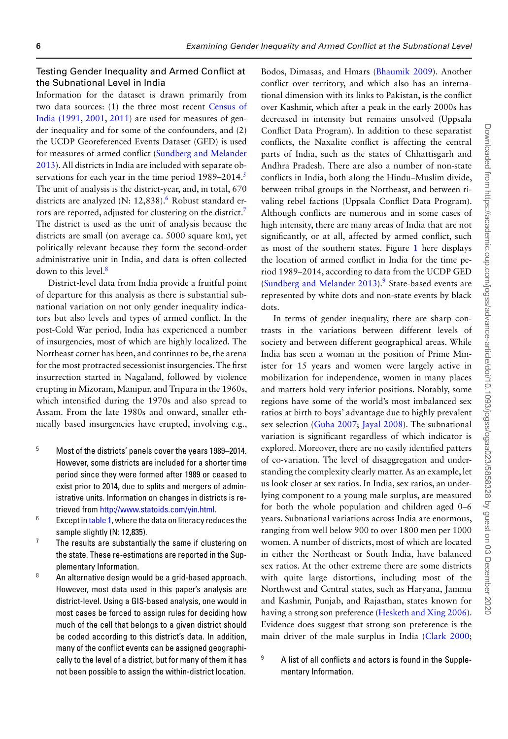#### Testing Gender Inequality and Armed Conflict at the Subnational Level in India

Information for the dataset is drawn primarily from [two data sources: \(1\) the three most recent](#page-16-17) Census of India (1991, [2001,](#page-16-18) [2011\)](#page-16-19) are used for measures of gender inequality and for some of the confounders, and (2) the UCDP Georeferenced Events Dataset (GED) is used for measures of armed conflict (Sundberg and Melander [2013\). All districts in India are included with separate ob](#page-17-22)servations for each year in the time period 1989–2014.<sup>5</sup> The unit of analysis is the district-year, and, in total, 670 districts are analyzed (N: 12,838).<sup>6</sup> Robust standard errors are reported, adjusted for clustering on the district[.7](#page-5-2) The district is used as the unit of analysis because the districts are small (on average ca. 5000 square km), yet politically relevant because they form the second-order administrative unit in India, and data is often collected down to this level[.8](#page-5-3)

District-level data from India provide a fruitful point of departure for this analysis as there is substantial subnational variation on not only gender inequality indicators but also levels and types of armed conflict. In the post-Cold War period, India has experienced a number of insurgencies, most of which are highly localized. The Northeast corner has been, and continues to be, the arena for the most protracted secessionist insurgencies. The first insurrection started in Nagaland, followed by violence erupting in Mizoram, Manipur, and Tripura in the 1960s, which intensified during the 1970s and also spread to Assam. From the late 1980s and onward, smaller ethnically based insurgencies have erupted, involving e.g.,

- <span id="page-5-0"></span><sup>5</sup> Most of the districts' panels cover the years 1989–2014. However, some districts are included for a shorter time period since they were formed after 1989 or ceased to exist prior to 2014, due to splits and mergers of administrative units. Information on changes in districts is retrieved from [http://www.statoids.com/yin.html.](http://www.statoids.com/yin.html)
- <span id="page-5-1"></span> $6$  Except in [table 1,](#page-9-0) where the data on literacy reduces the sample slightly (N: 12,835).
- <span id="page-5-2"></span> $7$  The results are substantially the same if clustering on the state. These re-estimations are reported in the Supplementary Information.
- <span id="page-5-3"></span>8 An alternative design would be a grid-based approach. However, most data used in this paper's analysis are district-level. Using a GIS-based analysis, one would in most cases be forced to assign rules for deciding how much of the cell that belongs to a given district should be coded according to this district's data. In addition, many of the conflict events can be assigned geographically to the level of a district, but for many of them it has not been possible to assign the within-district location.

Bodos, Dimasas, and Hmars [\(Bhaumik 2009\)](#page-16-20). Another conflict over territory, and which also has an international dimension with its links to Pakistan, is the conflict over Kashmir, which after a peak in the early 2000s has decreased in intensity but remains unsolved (Uppsala Conflict Data Program). In addition to these separatist conflicts, the Naxalite conflict is affecting the central parts of India, such as the states of Chhattisgarh and Andhra Pradesh. There are also a number of non-state conflicts in India, both along the Hindu–Muslim divide, between tribal groups in the Northeast, and between rivaling rebel factions (Uppsala Conflict Data Program). Although conflicts are numerous and in some cases of high intensity, there are many areas of India that are not significantly, or at all, affected by armed conflict, such as most of the southern states. Figure [1](#page-6-0) here displays the location of armed conflict in India for the time period 1989–2014, according to data from the UCDP GED (Sundberg and Melander  $2013$ ).<sup>9</sup> State-based events are represented by white dots and non-state events by black dots.

In terms of gender inequality, there are sharp contrasts in the variations between different levels of society and between different geographical areas. While India has seen a woman in the position of Prime Minister for 15 years and women were largely active in mobilization for independence, women in many places and matters hold very inferior positions. Notably, some regions have some of the world's most imbalanced sex ratios at birth to boys' advantage due to highly prevalent sex selection [\(Guha 2007;](#page-17-23) [Jayal 2008\)](#page-17-24). The subnational variation is significant regardless of which indicator is explored. Moreover, there are no easily identified patters of co-variation. The level of disaggregation and understanding the complexity clearly matter. As an example, let us look closer at sex ratios. In India, sex ratios, an underlying component to a young male surplus, are measured for both the whole population and children aged 0–6 years. Subnational variations across India are enormous, ranging from well below 900 to over 1800 men per 1000 women. A number of districts, most of which are located in either the Northeast or South India, have balanced sex ratios. At the other extreme there are some districts with quite large distortions, including most of the Northwest and Central states, such as Haryana, Jammu and Kashmir, Punjab, and Rajasthan, states known for having a strong son preference [\(Hesketh and Xing 2006\)](#page-17-25). Evidence does suggest that strong son preference is the main driver of the male surplus in India [\(Clark 2000;](#page-16-21)

<span id="page-5-4"></span> $9$  A list of all conflicts and actors is found in the Supplementary Information.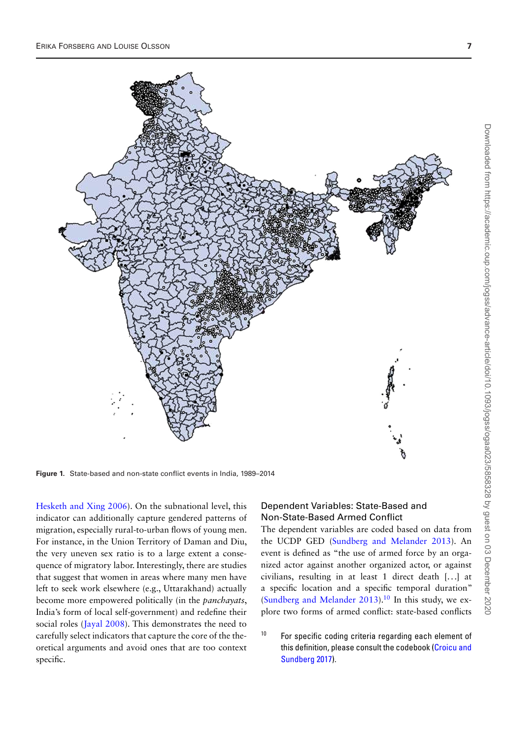<span id="page-6-0"></span>

**Figure 1.** State-based and non-state conflict events in India, 1989–2014

[Hesketh and Xing 2006\)](#page-17-25). On the subnational level, this indicator can additionally capture gendered patterns of migration, especially rural-to-urban flows of young men. For instance, in the Union Territory of Daman and Diu, the very uneven sex ratio is to a large extent a consequence of migratory labor. Interestingly, there are studies that suggest that women in areas where many men have left to seek work elsewhere (e.g., Uttarakhand) actually become more empowered politically (in the *panchayats*, India's form of local self-government) and redefine their social roles [\(Jayal 2008\)](#page-17-24). This demonstrates the need to carefully select indicators that capture the core of the theoretical arguments and avoid ones that are too context specific.

#### Dependent Variables: State-Based and Non-State-Based Armed Conflict

The dependent variables are coded based on data from the UCDP GED [\(Sundberg and Melander 2013\)](#page-17-22). An event is defined as "the use of armed force by an organized actor against another organized actor, or against civilians, resulting in at least 1 direct death [...] at a specific location and a specific temporal duration" [\(Sundberg and Melander 2013\)](#page-17-22).<sup>10</sup> In this study, we explore two forms of armed conflict: state-based conflicts

<span id="page-6-1"></span><sup>10</sup> For specific coding criteria regarding each element of [this definition, please consult the codebook \(Croicu and](#page-16-22) Sundberg 2017).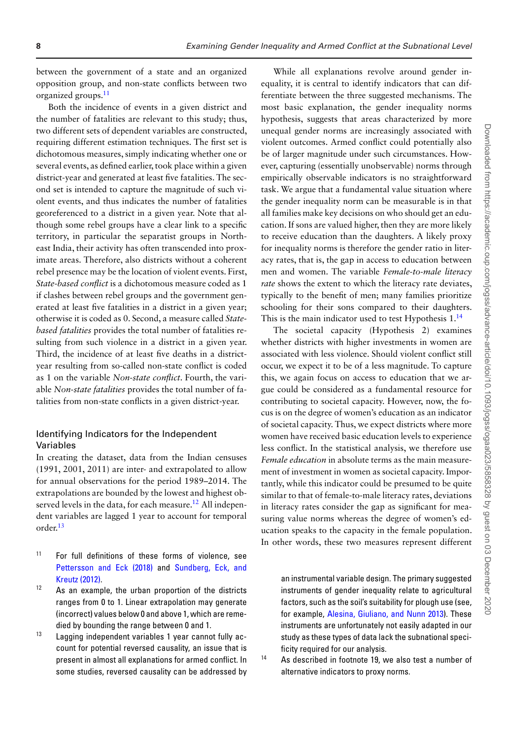between the government of a state and an organized opposition group, and non-state conflicts between two organized groups[.11](#page-7-0)

Both the incidence of events in a given district and the number of fatalities are relevant to this study; thus, two different sets of dependent variables are constructed, requiring different estimation techniques. The first set is dichotomous measures, simply indicating whether one or several events, as defined earlier, took place within a given district-year and generated at least five fatalities. The second set is intended to capture the magnitude of such violent events, and thus indicates the number of fatalities georeferenced to a district in a given year. Note that although some rebel groups have a clear link to a specific territory, in particular the separatist groups in Northeast India, their activity has often transcended into proximate areas. Therefore, also districts without a coherent rebel presence may be the location of violent events. First, *State-based conflict* is a dichotomous measure coded as 1 if clashes between rebel groups and the government generated at least five fatalities in a district in a given year; otherwise it is coded as 0. Second, a measure called *Statebased fatalities* provides the total number of fatalities resulting from such violence in a district in a given year. Third, the incidence of at least five deaths in a districtyear resulting from so-called non-state conflict is coded as 1 on the variable *Non-state conflict*. Fourth, the variable *Non-state fatalities* provides the total number of fatalities from non-state conflicts in a given district-year.

#### Identifying Indicators for the Independent Variables

In creating the dataset, data from the Indian censuses (1991, 2001, 2011) are inter- and extrapolated to allow for annual observations for the period 1989–2014. The extrapolations are bounded by the lowest and highest observed levels in the data, for each measure.<sup>12</sup> All independent variables are lagged 1 year to account for temporal order[.13](#page-7-2)

- <span id="page-7-0"></span><sup>11</sup> For full definitions of these forms of violence, see [Pettersson and Eck \(2018\)](#page-17-5) and Sundberg, Eck, and Kreutz (2012).
- <span id="page-7-1"></span> $12$  As an example, the urban proportion of the districts ranges from 0 to 1. Linear extrapolation may generate (incorrect) values below 0 and above 1, which are remedied by bounding the range between 0 and 1.
- <span id="page-7-2"></span>13 Lagging independent variables 1 year cannot fully account for potential reversed causality, an issue that is present in almost all explanations for armed conflict. In some studies, reversed causality can be addressed by

While all explanations revolve around gender inequality, it is central to identify indicators that can differentiate between the three suggested mechanisms. The most basic explanation, the gender inequality norms hypothesis, suggests that areas characterized by more unequal gender norms are increasingly associated with violent outcomes. Armed conflict could potentially also be of larger magnitude under such circumstances. However, capturing (essentially unobservable) norms through empirically observable indicators is no straightforward task. We argue that a fundamental value situation where the gender inequality norm can be measurable is in that all families make key decisions on who should get an education. If sons are valued higher, then they are more likely to receive education than the daughters. A likely proxy for inequality norms is therefore the gender ratio in literacy rates, that is, the gap in access to education between men and women. The variable *Female-to-male literacy rate* shows the extent to which the literacy rate deviates, typically to the benefit of men; many families prioritize schooling for their sons compared to their daughters. This is the main indicator used to test Hypothesis  $1.14$  $1.14$ 

The societal capacity (Hypothesis 2) examines whether districts with higher investments in women are associated with less violence. Should violent conflict still occur, we expect it to be of a less magnitude. To capture this, we again focus on access to education that we argue could be considered as a fundamental resource for contributing to societal capacity. However, now, the focus is on the degree of women's education as an indicator of societal capacity. Thus, we expect districts where more women have received basic education levels to experience less conflict. In the statistical analysis, we therefore use *Female education* in absolute terms as the main measurement of investment in women as societal capacity. Importantly, while this indicator could be presumed to be quite similar to that of female-to-male literacy rates, deviations in literacy rates consider the gap as significant for measuring value norms whereas the degree of women's education speaks to the capacity in the female population. In other words, these two measures represent different

an instrumental variable design. The primary suggested instruments of gender inequality relate to agricultural factors, such as the soil's suitability for plough use (see, for example, [Alesina, Giuliano, and Nunn 2013\)](#page-16-23). These instruments are unfortunately not easily adapted in our study as these types of data lack the subnational specificity required for our analysis.

<span id="page-7-3"></span>

<sup>14</sup> As described in footnote 19, we also test a number of alternative indicators to proxy norms.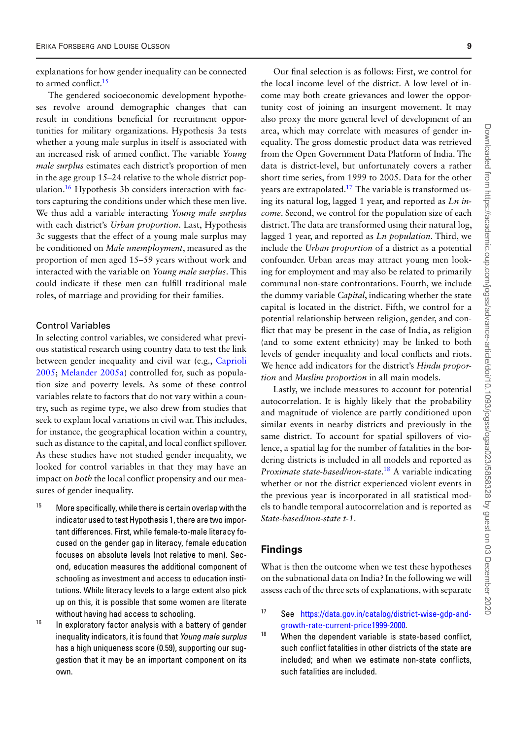explanations for how gender inequality can be connected to armed conflict[.15](#page-8-0)

The gendered socioeconomic development hypotheses revolve around demographic changes that can result in conditions beneficial for recruitment opportunities for military organizations. Hypothesis 3a tests whether a young male surplus in itself is associated with an increased risk of armed conflict. The variable *Young male surplus* estimates each district's proportion of men in the age group 15–24 relative to the whole district population[.16](#page-8-1) Hypothesis 3b considers interaction with factors capturing the conditions under which these men live. We thus add a variable interacting *Young male surplus* with each district's *Urban proportion*. Last, Hypothesis 3c suggests that the effect of a young male surplus may be conditioned on *Male unemployment*, measured as the proportion of men aged 15–59 years without work and interacted with the variable on *Young male surplus*. This could indicate if these men can fulfill traditional male roles, of marriage and providing for their families.

#### Control Variables

In selecting control variables, we considered what previous statistical research using country data to test the link between gender inequality and civil war (e.g., Caprioli 2005; [Melander 2005a\) controlled for, such as popula](#page-16-1)tion size and poverty levels. As some of these control variables relate to factors that do not vary within a country, such as regime type, we also drew from studies that seek to explain local variations in civil war. This includes, for instance, the geographical location within a country, such as distance to the capital, and local conflict spillover. As these studies have not studied gender inequality, we looked for control variables in that they may have an impact on *both* the local conflict propensity and our measures of gender inequality.

- <span id="page-8-0"></span> $15$  More specifically, while there is certain overlap with the indicator used to test Hypothesis 1, there are two important differences. First, while female-to-male literacy focused on the gender gap in literacy, female education focuses on absolute levels (not relative to men). Second, education measures the additional component of schooling as investment and access to education institutions. While literacy levels to a large extent also pick up on this, it is possible that some women are literate without having had access to schooling.
- <span id="page-8-1"></span><sup>16</sup> In exploratory factor analysis with a battery of gender inequality indicators, it is found that *Young male surplus* has a high uniqueness score (0.59), supporting our suggestion that it may be an important component on its own.

Our final selection is as follows: First, we control for the local income level of the district. A low level of income may both create grievances and lower the opportunity cost of joining an insurgent movement. It may also proxy the more general level of development of an area, which may correlate with measures of gender inequality. The gross domestic product data was retrieved from the Open Government Data Platform of India. The data is district-level, but unfortunately covers a rather short time series, from 1999 to 2005. Data for the other years are extrapolated.<sup>17</sup> The variable is transformed using its natural log, lagged 1 year, and reported as *Ln income*. Second, we control for the population size of each district. The data are transformed using their natural log, lagged 1 year, and reported as *Ln population*. Third, we include the *Urban proportion* of a district as a potential confounder. Urban areas may attract young men looking for employment and may also be related to primarily communal non-state confrontations. Fourth, we include the dummy variable *Capital*, indicating whether the state capital is located in the district. Fifth, we control for a potential relationship between religion, gender, and conflict that may be present in the case of India, as religion (and to some extent ethnicity) may be linked to both levels of gender inequality and local conflicts and riots. We hence add indicators for the district's *Hindu proportion* and *Muslim proportion* in all main models. Lastly, we include measures to account for potential

autocorrelation. It is highly likely that the probability and magnitude of violence are partly conditioned upon similar events in nearby districts and previously in the same district. To account for spatial spillovers of violence, a spatial lag for the number of fatalities in the bordering districts is included in all models and reported as *Proximate state-based/non-state*. [18](#page-8-3) A variable indicating whether or not the district experienced violent events in the previous year is incorporated in all statistical models to handle temporal autocorrelation and is reported as *State-based/non-state t-1*.

#### **Findings**

What is then the outcome when we test these hypotheses on the subnational data on India? In the following we will assess each of the three sets of explanations, with separate

- <span id="page-8-2"></span><sup>17</sup> See [https://data.gov.in/catalog/district-wise-gdp-and](https://data.gov.in/catalog/district-wise-gdp-and-growth-rate-current-price1999-2000)growth-rate-current-price1999-2000.
- <span id="page-8-3"></span> $18$  When the dependent variable is state-based conflict, such conflict fatalities in other districts of the state are included; and when we estimate non-state conflicts, such fatalities are included.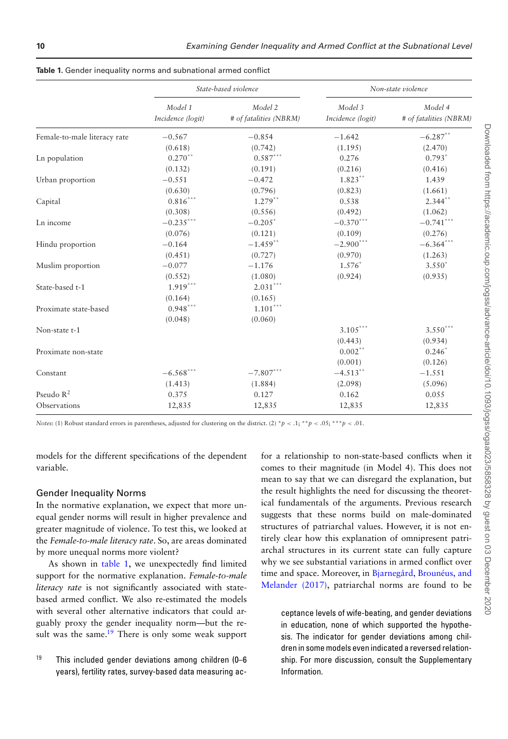|                              | State-based violence         |                                   | Non-state violence           |                                   |
|------------------------------|------------------------------|-----------------------------------|------------------------------|-----------------------------------|
|                              | Model 1<br>Incidence (logit) | Model 2<br># of fatalities (NBRM) | Model 3<br>Incidence (logit) | Model 4<br># of fatalities (NBRM) |
| Female-to-male literacy rate | $-0.567$                     | $-0.854$                          | $-1.642$                     | $-6.287***$                       |
|                              | (0.618)                      | (0.742)                           | (1.195)                      | (2.470)                           |
| Ln population                | $0.270**$                    | $0.587***$                        | 0.276                        | $0.793*$                          |
|                              | (0.132)                      | (0.191)                           | (0.216)                      | (0.416)                           |
| Urban proportion             | $-0.551$                     | $-0.472$                          | $1.823***$                   | 1.439                             |
|                              | (0.630)                      | (0.796)                           | (0.823)                      | (1.661)                           |
| Capital                      | $0.816***$                   | $1.279***$                        | 0.538                        | $2.344**$                         |
|                              | (0.308)                      | (0.556)                           | (0.492)                      | (1.062)                           |
| Ln income                    | $-0.235***$                  | $-0.205*$                         | $-0.370***$                  | $-0.741***$                       |
|                              | (0.076)                      | (0.121)                           | (0.109)                      | (0.276)                           |
| Hindu proportion             | $-0.164$                     | $-1.459$ **                       | $-2.900***$                  | $-6.364$ ***                      |
|                              | (0.451)                      | (0.727)                           | (0.970)                      | (1.263)                           |
| Muslim proportion            | $-0.077$                     | $-1.176$                          | $1.576^*$                    | $3.550*$                          |
|                              | (0.552)                      | (1.080)                           | (0.924)                      | (0.935)                           |
| State-based t-1              | $1.919***$                   | $2.031^{\ast\ast\ast}$            |                              |                                   |
|                              | (0.164)                      | (0.165)                           |                              |                                   |
| Proximate state-based        | $0.948***$                   | $1.101***$                        |                              |                                   |
|                              | (0.048)                      | (0.060)                           |                              |                                   |
| Non-state t-1                |                              |                                   | $3.105***$                   | $3.550***$                        |
|                              |                              |                                   | (0.443)                      | (0.934)                           |
| Proximate non-state          |                              |                                   | $0.002$ **                   | $0.246^*$                         |
|                              |                              |                                   | (0.001)                      | (0.126)                           |
| Constant                     | $-6.568***$                  | $-7.807***$                       | $-4.513**$                   | $-1.551$                          |
|                              | (1.413)                      | (1.884)                           | (2.098)                      | (5.096)                           |
| Pseudo $R^2$                 | 0.375                        | 0.127                             | 0.162                        | 0.055                             |
| Observations                 | 12,835                       | 12,835                            | 12,835                       | 12,835                            |

<span id="page-9-0"></span>**Table 1.** Gender inequality norms and subnational armed conflict

models for the different specifications of the dependent variable.

#### Gender Inequality Norms

In the normative explanation, we expect that more unequal gender norms will result in higher prevalence and greater magnitude of violence. To test this, we looked at the *Female-to-male literacy rate*. So, are areas dominated by more unequal norms more violent?

As shown in [table 1,](#page-9-0) we unexpectedly find limited support for the normative explanation. *Female-to-male literacy rate* is not significantly associated with statebased armed conflict. We also re-estimated the models with several other alternative indicators that could arguably proxy the gender inequality norm—but the result was the same.<sup>19</sup> There is only some weak support

<span id="page-9-1"></span><sup>19</sup> This included gender deviations among children (0–6 years), fertility rates, survey-based data measuring acfor a relationship to non-state-based conflicts when it comes to their magnitude (in Model 4). This does not mean to say that we can disregard the explanation, but the result highlights the need for discussing the theoretical fundamentals of the arguments. Previous research suggests that these norms build on male-dominated structures of patriarchal values. However, it is not entirely clear how this explanation of omnipresent patriarchal structures in its current state can fully capture why we see substantial variations in armed conflict over time and space. Moreover, in Bjarnegård, Brounéus, and [Melander \(2017\), patriarchal norms are found to be](#page-16-8)

ceptance levels of wife-beating, and gender deviations in education, none of which supported the hypothesis. The indicator for gender deviations among children in some models even indicated a reversed relationship. For more discussion, consult the Supplementary Information.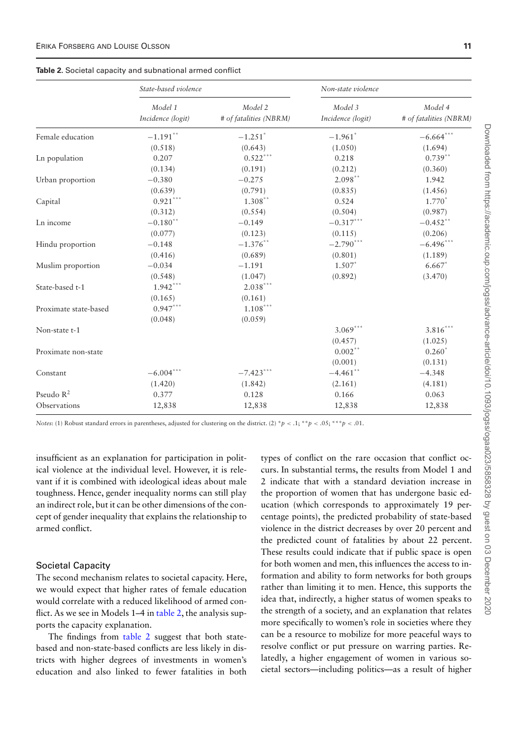<span id="page-10-0"></span>

| Table 2. Societal capacity and subnational armed conflict |  |  |  |  |  |
|-----------------------------------------------------------|--|--|--|--|--|
|-----------------------------------------------------------|--|--|--|--|--|

|                       | State-based violence         |                                   | Non-state violence           |                                   |  |
|-----------------------|------------------------------|-----------------------------------|------------------------------|-----------------------------------|--|
|                       | Model 1<br>Incidence (logit) | Model 2<br># of fatalities (NBRM) | Model 3<br>Incidence (logit) | Model 4<br># of fatalities (NBRM) |  |
| Female education      | $-1.191$ **                  | $-1.251$ <sup>*</sup>             | $-1.961$ <sup>*</sup>        | $-6.664$ ***                      |  |
|                       | (0.518)                      | (0.643)                           | (1.050)                      | (1.694)                           |  |
| Ln population         | 0.207                        | $0.522***$                        | 0.218                        | $0.739**$                         |  |
|                       | (0.134)                      | (0.191)                           | (0.212)                      | (0.360)                           |  |
| Urban proportion      | $-0.380$                     | $-0.275$                          | $2.098**$                    | 1.942                             |  |
|                       | (0.639)                      | (0.791)                           | (0.835)                      | (1.456)                           |  |
| Capital               | $0.921***$                   | $1.308**$                         | 0.524                        | $1.770*$                          |  |
|                       | (0.312)                      | (0.554)                           | (0.504)                      | (0.987)                           |  |
| Ln income             | $-0.180$ **                  | $-0.149$                          | $-0.317***$                  | $-0.452$ **                       |  |
|                       | (0.077)                      | (0.123)                           | (0.115)                      | (0.206)                           |  |
| Hindu proportion      | $-0.148$                     | $-1.376$ **                       | $-2.790***$                  | $-6.496$ ***                      |  |
|                       | (0.416)                      | (0.689)                           | (0.801)                      | (1.189)                           |  |
| Muslim proportion     | $-0.034$                     | $-1.191$                          | $1.507*$                     | $6.667*$                          |  |
|                       | (0.548)                      | (1.047)                           | (0.892)                      | (3.470)                           |  |
| State-based t-1       | $1.942***$                   | $2.038***$                        |                              |                                   |  |
|                       | (0.165)                      | (0.161)                           |                              |                                   |  |
| Proximate state-based | $0.947***$                   | $1.108***$                        |                              |                                   |  |
|                       | (0.048)                      | (0.059)                           |                              |                                   |  |
| Non-state t-1         |                              |                                   | $3.069***$                   | $3.816***$                        |  |
|                       |                              |                                   | (0.457)                      | (1.025)                           |  |
| Proximate non-state   |                              |                                   | $0.002$ **                   | $0.260*$                          |  |
|                       |                              |                                   | (0.001)                      | (0.131)                           |  |
| Constant              | $-6.004***$                  | $-7.423***$                       | $-4.461$ **                  | $-4.348$                          |  |
|                       | (1.420)                      | (1.842)                           | (2.161)                      | (4.181)                           |  |
| Pseudo $R^2$          | 0.377                        | 0.128                             | 0.166                        | 0.063                             |  |
| Observations          | 12,838                       | 12,838                            | 12,838                       | 12,838                            |  |

insufficient as an explanation for participation in political violence at the individual level. However, it is relevant if it is combined with ideological ideas about male toughness. Hence, gender inequality norms can still play an indirect role, but it can be other dimensions of the concept of gender inequality that explains the relationship to armed conflict.

#### Societal Capacity

The second mechanism relates to societal capacity. Here, we would expect that higher rates of female education would correlate with a reduced likelihood of armed conflict. As we see in Models 1–4 in [table 2,](#page-10-0) the analysis supports the capacity explanation.

The findings from [table 2](#page-10-0) suggest that both statebased and non-state-based conflicts are less likely in districts with higher degrees of investments in women's education and also linked to fewer fatalities in both types of conflict on the rare occasion that conflict occurs. In substantial terms, the results from Model 1 and 2 indicate that with a standard deviation increase in the proportion of women that has undergone basic education (which corresponds to approximately 19 percentage points), the predicted probability of state-based violence in the district decreases by over 20 percent and the predicted count of fatalities by about 22 percent. These results could indicate that if public space is open for both women and men, this influences the access to information and ability to form networks for both groups rather than limiting it to men. Hence, this supports the idea that, indirectly, a higher status of women speaks to the strength of a society, and an explanation that relates more specifically to women's role in societies where they can be a resource to mobilize for more peaceful ways to resolve conflict or put pressure on warring parties. Relatedly, a higher engagement of women in various societal sectors—including politics—as a result of higher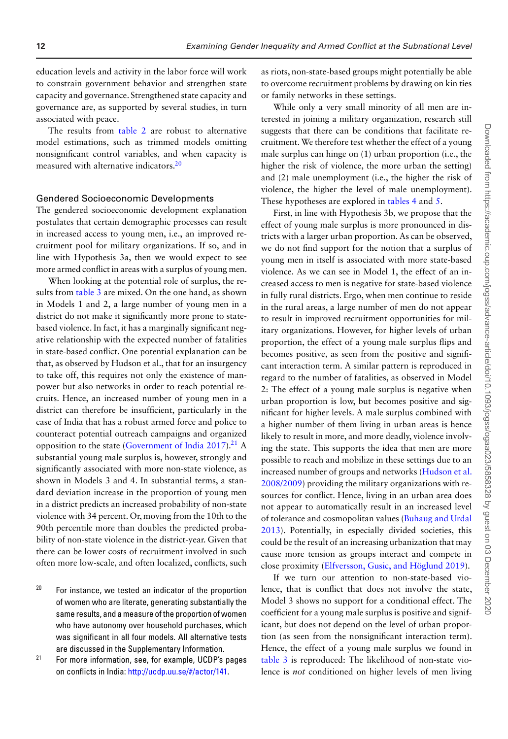education levels and activity in the labor force will work to constrain government behavior and strengthen state capacity and governance. Strengthened state capacity and governance are, as supported by several studies, in turn associated with peace.

The results from [table 2](#page-10-0) are robust to alternative model estimations, such as trimmed models omitting nonsignificant control variables, and when capacity is measured with alternative indicators.<sup>20</sup>

#### Gendered Socioeconomic Developments

The gendered socioeconomic development explanation postulates that certain demographic processes can result in increased access to young men, i.e., an improved recruitment pool for military organizations. If so, and in line with Hypothesis 3a, then we would expect to see more armed conflict in areas with a surplus of young men.

When looking at the potential role of surplus, the results from [table 3](#page-12-0) are mixed. On the one hand, as shown in Models 1 and 2, a large number of young men in a district do not make it significantly more prone to statebased violence. In fact, it has a marginally significant negative relationship with the expected number of fatalities in state-based conflict. One potential explanation can be that, as observed by Hudson et al., that for an insurgency to take off, this requires not only the existence of manpower but also networks in order to reach potential recruits. Hence, an increased number of young men in a district can therefore be insufficient, particularly in the case of India that has a robust armed force and police to counteract potential outreach campaigns and organized opposition to the state [\(Government of India 2017\)](#page-17-26).<sup>21</sup> A substantial young male surplus is, however, strongly and significantly associated with more non-state violence, as shown in Models 3 and 4. In substantial terms, a standard deviation increase in the proportion of young men in a district predicts an increased probability of non-state violence with 34 percent. Or, moving from the 10th to the 90th percentile more than doubles the predicted probability of non-state violence in the district-year. Given that there can be lower costs of recruitment involved in such often more low-scale, and often localized, conflicts, such

<span id="page-11-0"></span> $20$  For instance, we tested an indicator of the proportion of women who are literate, generating substantially the same results, and a measure of the proportion of women who have autonomy over household purchases, which was significant in all four models. All alternative tests are discussed in the Supplementary Information.

<span id="page-11-1"></span> $21$  For more information, see, for example, UCDP's pages on conflicts in India: [http://ucdp.uu.se/#/actor/141.](http://ucdp.uu.se/\043/actor/141)

as riots, non-state-based groups might potentially be able to overcome recruitment problems by drawing on kin ties or family networks in these settings.

While only a very small minority of all men are interested in joining a military organization, research still suggests that there can be conditions that facilitate recruitment. We therefore test whether the effect of a young male surplus can hinge on (1) urban proportion (i.e., the higher the risk of violence, the more urban the setting) and (2) male unemployment (i.e., the higher the risk of violence, the higher the level of male unemployment). These hypotheses are explored in [tables 4](#page-13-0) and [5.](#page-14-0)

First, in line with Hypothesis 3b, we propose that the effect of young male surplus is more pronounced in districts with a larger urban proportion. As can be observed, we do not find support for the notion that a surplus of young men in itself is associated with more state-based violence. As we can see in Model 1, the effect of an increased access to men is negative for state-based violence in fully rural districts. Ergo, when men continue to reside in the rural areas, a large number of men do not appear to result in improved recruitment opportunities for military organizations. However, for higher levels of urban proportion, the effect of a young male surplus flips and becomes positive, as seen from the positive and significant interaction term. A similar pattern is reproduced in regard to the number of fatalities, as observed in Model 2: The effect of a young male surplus is negative when urban proportion is low, but becomes positive and significant for higher levels. A male surplus combined with a higher number of them living in urban areas is hence likely to result in more, and more deadly, violence involving the state. This supports the idea that men are more possible to reach and mobilize in these settings due to an [increased number of groups and networks \(Hudson et al.](#page-17-2) 2008/2009) providing the military organizations with resources for conflict. Hence, living in an urban area does not appear to automatically result in an increased level of tolerance and cosmopolitan values (Buhaug and Urdal [2013\). Potentially, in especially divided societies, this](#page-16-16) could be the result of an increasing urbanization that may cause more tension as groups interact and compete in close proximity [\(Elfversson, Gusic, and Höglund 2019\)](#page-16-24).

If we turn our attention to non-state-based violence, that is conflict that does not involve the state, Model 3 shows no support for a conditional effect. The coefficient for a young male surplus is positive and significant, but does not depend on the level of urban proportion (as seen from the nonsignificant interaction term). Hence, the effect of a young male surplus we found in [table 3](#page-12-0) is reproduced: The likelihood of non-state violence is *not* conditioned on higher levels of men living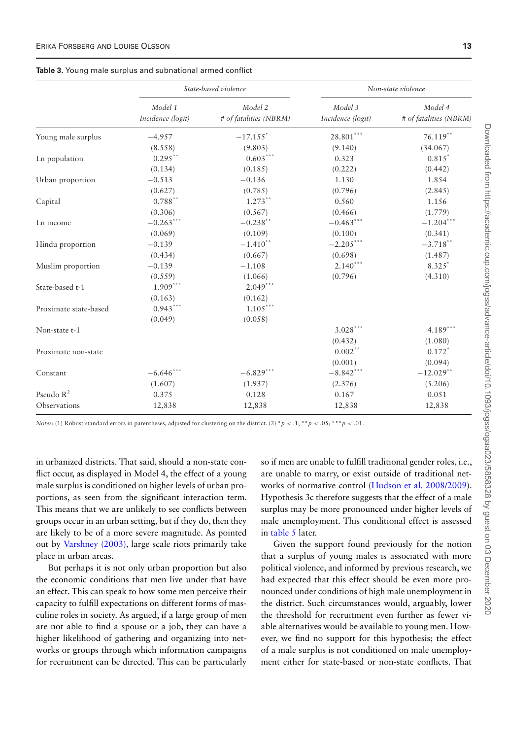<span id="page-12-0"></span>

|  |  |  |  | Table 3. Young male surplus and subnational armed conflict |  |  |
|--|--|--|--|------------------------------------------------------------|--|--|
|--|--|--|--|------------------------------------------------------------|--|--|

|                       | State-based violence         |                                   | Non-state violence           |                                   |  |
|-----------------------|------------------------------|-----------------------------------|------------------------------|-----------------------------------|--|
|                       | Model 1<br>Incidence (logit) | Model 2<br># of fatalities (NBRM) | Model 3<br>Incidence (logit) | Model 4<br># of fatalities (NBRM) |  |
| Young male surplus    | $-4.957$                     | $-17.155$ <sup>*</sup>            | $28.801***$                  | $76.119**$                        |  |
|                       | (8.558)                      | (9.803)                           | (9.140)                      | (34.067)                          |  |
| Ln population         | $0.295$ **                   | $0.603***$                        | 0.323                        | $0.815^*$                         |  |
|                       | (0.134)                      | (0.185)                           | (0.222)                      | (0.442)                           |  |
| Urban proportion      | $-0.513$                     | $-0.136$                          | 1.130                        | 1.854                             |  |
|                       | (0.627)                      | (0.785)                           | (0.796)                      | (2.845)                           |  |
| Capital               | $0.788**$                    | $1.273**$                         | 0.560                        | 1.156                             |  |
|                       | (0.306)                      | (0.567)                           | (0.466)                      | (1.779)                           |  |
| Ln income             | $-0.263***$                  | $-0.238**$                        | $-0.463***$                  | $-1.204***$                       |  |
|                       | (0.069)                      | (0.109)                           | (0.100)                      | (0.341)                           |  |
| Hindu proportion      | $-0.139$                     | $-1.410**$                        | $-2.205***$                  | $-3.718**$                        |  |
|                       | (0.434)                      | (0.667)                           | (0.698)                      | (1.487)                           |  |
| Muslim proportion     | $-0.139$                     | $-1.108$                          | $2.140***$                   | $8.325$ <sup>*</sup>              |  |
|                       | (0.559)                      | (1.066)                           | (0.796)                      | (4.310)                           |  |
| State-based t-1       | $1.909***$                   | $2.049***$                        |                              |                                   |  |
|                       | (0.163)                      | (0.162)                           |                              |                                   |  |
| Proximate state-based | $0.943***$                   | $1.105***$                        |                              |                                   |  |
|                       | (0.049)                      | (0.058)                           |                              |                                   |  |
| Non-state t-1         |                              |                                   | $3.028***$                   | $4.189***$                        |  |
|                       |                              |                                   | (0.432)                      | (1.080)                           |  |
| Proximate non-state   |                              |                                   | $0.002**$                    | $0.172*$                          |  |
|                       |                              |                                   | (0.001)                      | (0.094)                           |  |
| Constant              | $-6.646$ ***                 | $-6.829***$                       | $-8.842***$                  | $-12.029$ **                      |  |
|                       | (1.607)                      | (1.937)                           | (2.376)                      | (5.206)                           |  |
| Pseudo $R^2$          | 0.375                        | 0.128                             | 0.167                        | 0.051                             |  |
| Observations          | 12,838                       | 12,838                            | 12,838                       | 12,838                            |  |

in urbanized districts. That said, should a non-state conflict occur, as displayed in Model 4, the effect of a young male surplus is conditioned on higher levels of urban proportions, as seen from the significant interaction term. This means that we are unlikely to see conflicts between groups occur in an urban setting, but if they do, then they are likely to be of a more severe magnitude. As pointed out by [Varshney \(2003\),](#page-17-27) large scale riots primarily take place in urban areas.

But perhaps it is not only urban proportion but also the economic conditions that men live under that have an effect. This can speak to how some men perceive their capacity to fulfill expectations on different forms of masculine roles in society. As argued, if a large group of men are not able to find a spouse or a job, they can have a higher likelihood of gathering and organizing into networks or groups through which information campaigns for recruitment can be directed. This can be particularly

so if men are unable to fulfill traditional gender roles, i.e., are unable to marry, or exist outside of traditional networks of normative control [\(Hudson et al. 2008/2009\)](#page-17-2). Hypothesis 3c therefore suggests that the effect of a male surplus may be more pronounced under higher levels of male unemployment. This conditional effect is assessed in [table 5](#page-14-0) later.

Given the support found previously for the notion that a surplus of young males is associated with more political violence, and informed by previous research, we had expected that this effect should be even more pronounced under conditions of high male unemployment in the district. Such circumstances would, arguably, lower the threshold for recruitment even further as fewer viable alternatives would be available to young men. However, we find no support for this hypothesis; the effect of a male surplus is not conditioned on male unemployment either for state-based or non-state conflicts. That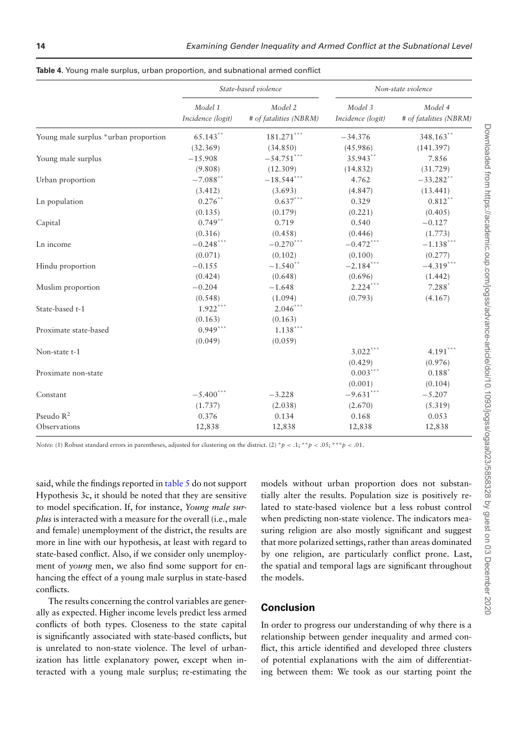|                                      | State-based violence         |                                   | Non-state violence           |                                   |  |
|--------------------------------------|------------------------------|-----------------------------------|------------------------------|-----------------------------------|--|
|                                      | Model 1<br>Incidence (logit) | Model 2<br># of fatalities (NBRM) | Model 3<br>Incidence (logit) | Model 4<br># of fatalities (NBRM) |  |
| Young male surplus *urban proportion | 65.143**                     | $181.271***$                      | $-34.376$                    | 348.163**                         |  |
|                                      | (32.369)                     | (34.850)                          | (45.986)                     | (141.397)                         |  |
| Young male surplus                   | $-15.908$                    | $-54.751***$                      | 35.943**                     | 7.856                             |  |
|                                      | (9.808)                      | (12.309)                          | (14.832)                     | (31.729)                          |  |
| Urban proportion                     | $-7.088$ **                  | $-18.544***$                      | 4.762                        | $-33.282$ **                      |  |
|                                      | (3.412)                      | (3.693)                           | (4.847)                      | (13.441)                          |  |
| Ln population                        | $0.276***$                   | $0.637***$                        | 0.329                        | $0.812**$                         |  |
|                                      | (0.135)                      | (0.179)                           | (0.221)                      | (0.405)                           |  |
| Capital                              | $0.749**$                    | 0.719                             | 0.540                        | $-0.127$                          |  |
|                                      | (0.316)                      | (0.458)                           | (0.446)                      | (1.773)                           |  |
| Ln income                            | $-0.248***$                  | $-0.270***$                       | $-0.472***$                  | $-1.138***$                       |  |
|                                      | (0.071)                      | (0.102)                           | (0.100)                      | (0.277)                           |  |
| Hindu proportion                     | $-0.155$                     | $-1.540**$                        | $-2.184***$                  | $-4.319***$                       |  |
|                                      | (0.424)                      | (0.648)                           | (0.696)                      | (1.442)                           |  |
| Muslim proportion                    | $-0.204$                     | $-1.648$                          | $2.224***$                   | $7.288*$                          |  |
|                                      | (0.548)                      | (1.094)                           | (0.793)                      | (4.167)                           |  |
| State-based t-1                      | $1.922***$                   | $2.046***$                        |                              |                                   |  |
|                                      | (0.163)                      | (0.163)                           |                              |                                   |  |
| Proximate state-based                | $0.949***$                   | $1.138***$                        |                              |                                   |  |
|                                      | (0.049)                      | (0.059)                           |                              |                                   |  |
| Non-state t-1                        |                              |                                   | $3.022***$                   | $4.191***$                        |  |
|                                      |                              |                                   | (0.429)                      | (0.976)                           |  |
| Proximate non-state                  |                              |                                   | $0.003***$                   | $0.188*$                          |  |
|                                      |                              |                                   | (0.001)                      | (0.104)                           |  |
| Constant                             | $-5.400***$                  | $-3.228$                          | $-9.631***$                  | $-5.207$                          |  |
|                                      | (1.737)                      | (2.038)                           | (2.670)                      | (5.319)                           |  |
| Pseudo $R^2$                         | 0.376                        | 0.134                             | 0.168                        | 0.053                             |  |
| Observations                         | 12,838                       | 12,838                            | 12,838                       | 12,838                            |  |

<span id="page-13-0"></span>

| Table 4. Young male surplus, urban proportion, and subnational armed conflict |  |  |  |
|-------------------------------------------------------------------------------|--|--|--|
|-------------------------------------------------------------------------------|--|--|--|

said, while the findings reported in [table 5](#page-14-0) do not support Hypothesis 3c, it should be noted that they are sensitive to model specification. If, for instance, *Young male surplus* is interacted with a measure for the overall (i.e., male and female) unemployment of the district, the results are more in line with our hypothesis, at least with regard to state-based conflict. Also, if we consider only unemployment of *young* men, we also find some support for enhancing the effect of a young male surplus in state-based conflicts.

The results concerning the control variables are generally as expected. Higher income levels predict less armed conflicts of both types. Closeness to the state capital is significantly associated with state-based conflicts, but is unrelated to non-state violence. The level of urbanization has little explanatory power, except when interacted with a young male surplus; re-estimating the models without urban proportion does not substantially alter the results. Population size is positively related to state-based violence but a less robust control when predicting non-state violence. The indicators measuring religion are also mostly significant and suggest that more polarized settings, rather than areas dominated by one religion, are particularly conflict prone. Last, the spatial and temporal lags are significant throughout the models.

#### **Conclusion**

In order to progress our understanding of why there is a relationship between gender inequality and armed conflict, this article identified and developed three clusters of potential explanations with the aim of differentiating between them: We took as our starting point the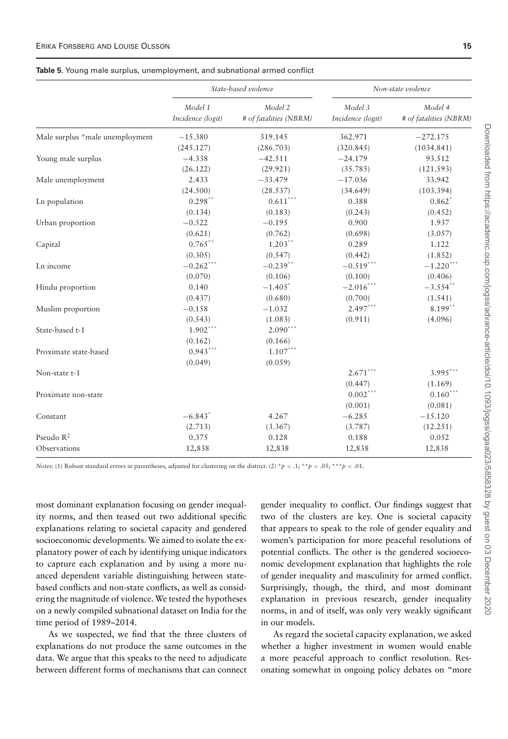#### <span id="page-14-0"></span>**Table 5.** Young male surplus, unemployment, and subnational armed conflict

|                                 | State-based violence         |                                   | Non-state violence           |                                   |  |
|---------------------------------|------------------------------|-----------------------------------|------------------------------|-----------------------------------|--|
|                                 | Model 1<br>Incidence (logit) | Model 2<br># of fatalities (NBRM) | Model 3<br>Incidence (logit) | Model 4<br># of fatalities (NBRM) |  |
| Male surplus *male unemployment | $-15.380$                    | 319.145                           | 362.971                      | $-272.175$                        |  |
|                                 | (245.127)                    | (286.703)                         | (320.845)                    | (1034.841)                        |  |
| Young male surplus              | $-4.338$                     | $-42.511$                         | $-24.179$                    | 93.512                            |  |
|                                 | (26.122)                     | (29.921)                          | (35.785)                     | (121.593)                         |  |
| Male unemployment               | 2.433                        | $-33.479$                         | $-17.036$                    | 33.942                            |  |
|                                 | (24.500)                     | (28.537)                          | (34.649)                     | (103.394)                         |  |
| Ln population                   | $0.298**$                    | $0.611***$                        | 0.388                        | $0.862$ <sup>*</sup>              |  |
|                                 | (0.134)                      | (0.183)                           | (0.243)                      | (0.452)                           |  |
| Urban proportion                | $-0.522$                     | $-0.195$                          | 0.900                        | 1.937                             |  |
|                                 | (0.621)                      | (0.762)                           | (0.698)                      | (3.057)                           |  |
| Capital                         | $0.765$ **                   | $1.203**$                         | 0.289                        | 1.122                             |  |
|                                 | (0.305)                      | (0.547)                           | (0.442)                      | (1.852)                           |  |
| Ln income                       | $-0.262$ ***                 | $-0.239**$                        | $-0.519***$                  | $-1.220***$                       |  |
|                                 | (0.070)                      | (0.106)                           | (0.100)                      | (0.406)                           |  |
| Hindu proportion                | 0.140                        | $-1.405$ <sup>*</sup>             | $-2.016***$                  | $-3.554$ **                       |  |
|                                 | (0.437)                      | (0.680)                           | (0.700)                      | (1.541)                           |  |
| Muslim proportion               | $-0.158$                     | $-1.032$                          | $2.497***$                   | $8.199**$                         |  |
|                                 | (0.543)                      | (1.083)                           | (0.911)                      | (4.096)                           |  |
| State-based t-1                 | $1.902***$                   | $2.090***$                        |                              |                                   |  |
|                                 | (0.162)                      | (0.166)                           |                              |                                   |  |
| Proximate state-based           | $0.943***$                   | $1.107***$                        |                              |                                   |  |
|                                 | (0.049)                      | (0.059)                           |                              |                                   |  |
| Non-state t-1                   |                              |                                   | $2.671***$                   | $3.995***$                        |  |
|                                 |                              |                                   | (0.447)                      | (1.169)                           |  |
| Proximate non-state             |                              |                                   | $0.002***$                   | $0.160***$                        |  |
|                                 |                              |                                   | (0.001)                      | (0.081)                           |  |
| Constant                        | $-6.843*$                    | 4.267                             | $-6.285$                     | $-15.120$                         |  |
|                                 | (2.713)                      | (3.367)                           | (3.787)                      | (12.251)                          |  |
| Pseudo $\mathbb{R}^2$           | 0.375                        | 0.128                             | 0.188                        | 0.052                             |  |
| Observations                    | 12,838                       | 12,838                            | 12,838                       | 12,838                            |  |

*Notes*: (1) Robust standard errors in parentheses, adjusted for clustering on the district. (2) \**p* < .1; \*\**p* < .05; \*\*\**p* < .01.

most dominant explanation focusing on gender inequality norms, and then teased out two additional specific explanations relating to societal capacity and gendered socioeconomic developments. We aimed to isolate the explanatory power of each by identifying unique indicators to capture each explanation and by using a more nuanced dependent variable distinguishing between statebased conflicts and non-state conflicts, as well as considering the magnitude of violence.We tested the hypotheses on a newly compiled subnational dataset on India for the time period of 1989–2014.

As we suspected, we find that the three clusters of explanations do not produce the same outcomes in the data. We argue that this speaks to the need to adjudicate between different forms of mechanisms that can connect

gender inequality to conflict. Our findings suggest that two of the clusters are key. One is societal capacity that appears to speak to the role of gender equality and women's participation for more peaceful resolutions of potential conflicts. The other is the gendered socioeconomic development explanation that highlights the role of gender inequality and masculinity for armed conflict. Surprisingly, though, the third, and most dominant explanation in previous research, gender inequality norms, in and of itself, was only very weakly significant in our models.

As regard the societal capacity explanation, we asked whether a higher investment in women would enable a more peaceful approach to conflict resolution. Resonating somewhat in ongoing policy debates on "more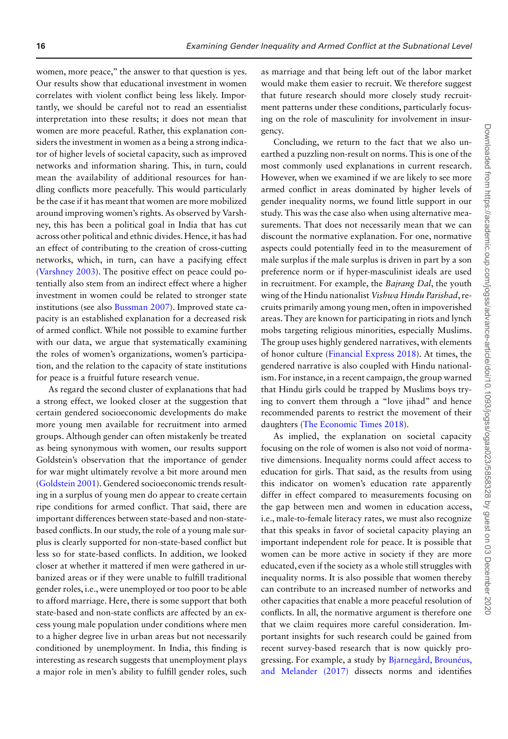women, more peace," the answer to that question is yes. Our results show that educational investment in women correlates with violent conflict being less likely. Importantly, we should be careful not to read an essentialist interpretation into these results; it does not mean that women are more peaceful. Rather, this explanation considers the investment in women as a being a strong indicator of higher levels of societal capacity, such as improved networks and information sharing. This, in turn, could mean the availability of additional resources for handling conflicts more peacefully. This would particularly be the case if it has meant that women are more mobilized around improving women's rights. As observed by Varshney, this has been a political goal in India that has cut across other political and ethnic divides. Hence, it has had an effect of contributing to the creation of cross-cutting networks, which, in turn, can have a pacifying effect [\(Varshney 2003\)](#page-17-27). The positive effect on peace could potentially also stem from an indirect effect where a higher investment in women could be related to stronger state institutions (see also [Bussman 2007\)](#page-16-12). Improved state capacity is an established explanation for a decreased risk of armed conflict. While not possible to examine further with our data, we argue that systematically examining the roles of women's organizations, women's participation, and the relation to the capacity of state institutions for peace is a fruitful future research venue.

As regard the second cluster of explanations that had a strong effect, we looked closer at the suggestion that certain gendered socioeconomic developments do make more young men available for recruitment into armed groups. Although gender can often mistakenly be treated as being synonymous with women, our results support Goldstein's observation that the importance of gender for war might ultimately revolve a bit more around men [\(Goldstein 2001\)](#page-17-3). Gendered socioeconomic trends resulting in a surplus of young men do appear to create certain ripe conditions for armed conflict. That said, there are important differences between state-based and non-statebased conflicts. In our study, the role of a young male surplus is clearly supported for non-state-based conflict but less so for state-based conflicts. In addition, we looked closer at whether it mattered if men were gathered in urbanized areas or if they were unable to fulfill traditional gender roles, i.e., were unemployed or too poor to be able to afford marriage. Here, there is some support that both state-based and non-state conflicts are affected by an excess young male population under conditions where men to a higher degree live in urban areas but not necessarily conditioned by unemployment. In India, this finding is interesting as research suggests that unemployment plays a major role in men's ability to fulfill gender roles, such

as marriage and that being left out of the labor market would make them easier to recruit. We therefore suggest that future research should more closely study recruitment patterns under these conditions, particularly focusing on the role of masculinity for involvement in insurgency.

Concluding, we return to the fact that we also unearthed a puzzling non-result on norms. This is one of the most commonly used explanations in current research. However, when we examined if we are likely to see more armed conflict in areas dominated by higher levels of gender inequality norms, we found little support in our study. This was the case also when using alternative measurements. That does not necessarily mean that we can discount the normative explanation. For one, normative aspects could potentially feed in to the measurement of male surplus if the male surplus is driven in part by a son preference norm or if hyper-masculinist ideals are used in recruitment. For example, the *Bajrang Dal*, the youth wing of the Hindu nationalist *Vishwa Hindu Parishad*, recruits primarily among young men, often in impoverished areas. They are known for participating in riots and lynch mobs targeting religious minorities, especially Muslims. The group uses highly gendered narratives, with elements of honor culture [\(Financial Express 2018\)](#page-16-25). At times, the gendered narrative is also coupled with Hindu nationalism. For instance, in a recent campaign, the group warned that Hindu girls could be trapped by Muslims boys trying to convert them through a "love jihad" and hence recommended parents to restrict the movement of their daughters [\(The Economic Times 2018\)](#page-17-28).

As implied, the explanation on societal capacity focusing on the role of women is also not void of normative dimensions. Inequality norms could affect access to education for girls. That said, as the results from using this indicator on women's education rate apparently differ in effect compared to measurements focusing on the gap between men and women in education access, i.e., male-to-female literacy rates, we must also recognize that this speaks in favor of societal capacity playing an important independent role for peace. It is possible that women can be more active in society if they are more educated, even if the society as a whole still struggles with inequality norms. It is also possible that women thereby can contribute to an increased number of networks and other capacities that enable a more peaceful resolution of conflicts. In all, the normative argument is therefore one that we claim requires more careful consideration. Important insights for such research could be gained from recent survey-based research that is now quickly pro[gressing. For example, a study by](#page-16-8) Bjarnegård, Brounéus, and Melander (2017) dissects norms and identifies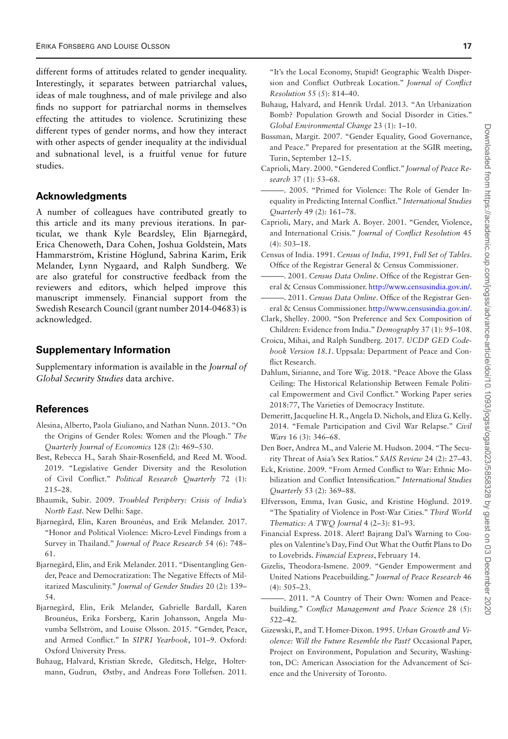different forms of attitudes related to gender inequality. Interestingly, it separates between patriarchal values, ideas of male toughness, and of male privilege and also finds no support for patriarchal norms in themselves effecting the attitudes to violence. Scrutinizing these different types of gender norms, and how they interact with other aspects of gender inequality at the individual and subnational level, is a fruitful venue for future studies.

#### **Acknowledgments**

A number of colleagues have contributed greatly to this article and its many previous iterations. In particular, we thank Kyle Beardsley, Elin Bjarnegård, Erica Chenoweth, Dara Cohen, Joshua Goldstein, Mats Hammarström, Kristine Höglund, Sabrina Karim, Erik Melander, Lynn Nygaard, and Ralph Sundberg. We are also grateful for constructive feedback from the reviewers and editors, which helped improve this manuscript immensely. Financial support from the Swedish Research Council (grant number 2014-04683) is acknowledged.

#### **Supplementary Information**

Supplementary information is available in the *Journal of Global Security Studies* data archive.

#### **References**

- <span id="page-16-23"></span>Alesina, Alberto, Paola Giuliano, and Nathan Nunn. 2013. "On the Origins of Gender Roles: Women and the Plough." *The Quarterly Journal of Economics* 128 (2): 469–530.
- <span id="page-16-10"></span>Best, Rebecca H., Sarah Shair-Rosenfield, and Reed M. Wood. 2019. "Legislative Gender Diversity and the Resolution of Civil Conflict." *Political Research Quarterly* 72 (1): 215–28.
- <span id="page-16-20"></span>Bhaumik, Subir. 2009. *Troubled Periphery: Crisis of India's North East*. New Delhi: Sage.
- <span id="page-16-8"></span>Bjarnegård, Elin, Karen Brounéus, and Erik Melander. 2017. "Honor and Political Violence: Micro-Level Findings from a Survey in Thailand." *Journal of Peace Research* 54 (6): 748– 61.
- <span id="page-16-4"></span>Bjarnegård, Elin, and Erik Melander. 2011. "Disentangling Gender, Peace and Democratization: The Negative Effects of Militarized Masculinity." *Journal of Gender Studies* 20 (2): 139– 54.
- <span id="page-16-13"></span>Bjarnegård, Elin, Erik Melander, Gabrielle Bardall, Karen Brounéus, Erika Forsberg, Karin Johansson, Angela Muvumba Sellström, and Louise Olsson. 2015. "Gender, Peace, and Armed Conflict." In *SIPRI Yearbook*, 101–9. Oxford: Oxford University Press.
- <span id="page-16-6"></span>Buhaug, Halvard, Kristian Skrede, Gleditsch, Helge, Holtermann, Gudrun, Østby, and Andreas Forø Tollefsen. 2011.

"It's the Local Economy, Stupid! Geographic Wealth Dispersion and Conflict Outbreak Location." *Journal of Conflict Resolution* 55 (5): 814–40.

- <span id="page-16-16"></span>Buhaug, Halvard, and Henrik Urdal. 2013. "An Urbanization Bomb? Population Growth and Social Disorder in Cities." *Global Environmental Change* 23 (1): 1–10.
- <span id="page-16-12"></span>Bussman, Margit. 2007. "Gender Equality, Good Governance, and Peace." Prepared for presentation at the SGIR meeting, Turin, September 12–15.
- <span id="page-16-0"></span>Caprioli, Mary. 2000. "Gendered Conflict." *Journal of Peace Research* 37 (1): 53–68.
- <span id="page-16-1"></span>-. 2005. "Primed for Violence: The Role of Gender Inequality in Predicting Internal Conflict." *International Studies Quarterly* 49 (2): 161–78.
- <span id="page-16-2"></span>Caprioli, Mary, and Mark A. Boyer. 2001. "Gender, Violence, and International Crisis." *Journal of Conflict Resolution* 45 (4): 503–18.
- <span id="page-16-17"></span>Census of India. 1991. *Census of India, 1991, Full Set of Tables*. Office of the Registrar General & Census Commissioner.
- <span id="page-16-18"></span>———. 2001. *Census Data Online*. Office of the Registrar General & Census Commissioner. [http://www.censusindia.gov.in/.](http://www.censusindia.gov.in/)
- <span id="page-16-19"></span>-. 2011. Census Data Online. Office of the Registrar General & Census Commissioner. [http://www.censusindia.gov.in/.](http://www.censusindia.gov.in/)
- <span id="page-16-21"></span>Clark, Shelley. 2000. "Son Preference and Sex Composition of Children: Evidence from India." *Demography* 37 (1): 95–108.
- <span id="page-16-22"></span>Croicu, Mihai, and Ralph Sundberg. 2017. *UCDP GED Codebook Version 18.1*. Uppsala: Department of Peace and Conflict Research.
- <span id="page-16-11"></span>Dahlum, Sirianne, and Tore Wig. 2018. "Peace Above the Glass Ceiling: The Historical Relationship Between Female Political Empowerment and Civil Conflict." Working Paper series 2018:77, The Varieties of Democracy Institute.
- <span id="page-16-5"></span>Demeritt, Jacqueline H. R., Angela D. Nichols, and Eliza G. Kelly. 2014. "Female Participation and Civil War Relapse." *Civil Wars* 16 (3): 346–68.
- <span id="page-16-9"></span>Den Boer, Andrea M., and Valerie M. Hudson. 2004. "The Security Threat of Asia's Sex Ratios." *SAIS Review* 24 (2): 27–43.
- <span id="page-16-14"></span>Eck, Kristine. 2009. "From Armed Conflict to War: Ethnic Mobilization and Conflict Intensification." *International Studies Quarterly* 53 (2): 369–88.
- <span id="page-16-24"></span>Elfversson, Emma, Ivan Gusic, and Kristine Höglund. 2019. "The Spatiality of Violence in Post-War Cities." *Third World Thematics: A TWQ Journal* 4 (2–3): 81–93.
- <span id="page-16-25"></span>Financial Express. 2018. Alert! Bajrang Dal's Warning to Couples on Valentine's Day, Find Out What the Outfit Plans to Do to Lovebrids. *Financial Express*, February 14.
- <span id="page-16-3"></span>Gizelis, Theodora-Ismene. 2009. "Gender Empowerment and United Nations Peacebuilding." *Journal of Peace Research* 46 (4): 505–23.
- <span id="page-16-7"></span>-. 2011. "A Country of Their Own: Women and Peacebuilding." *Conflict Management and Peace Science* 28 (5): 522–42.
- <span id="page-16-15"></span>Gizewski, P., and T. Homer-Dixon. 1995. *Urban Growth and Violence: Will the Future Resemble the Past?* Occasional Paper, Project on Environment, Population and Security, Washington, DC: American Association for the Advancement of Science and the University of Toronto.